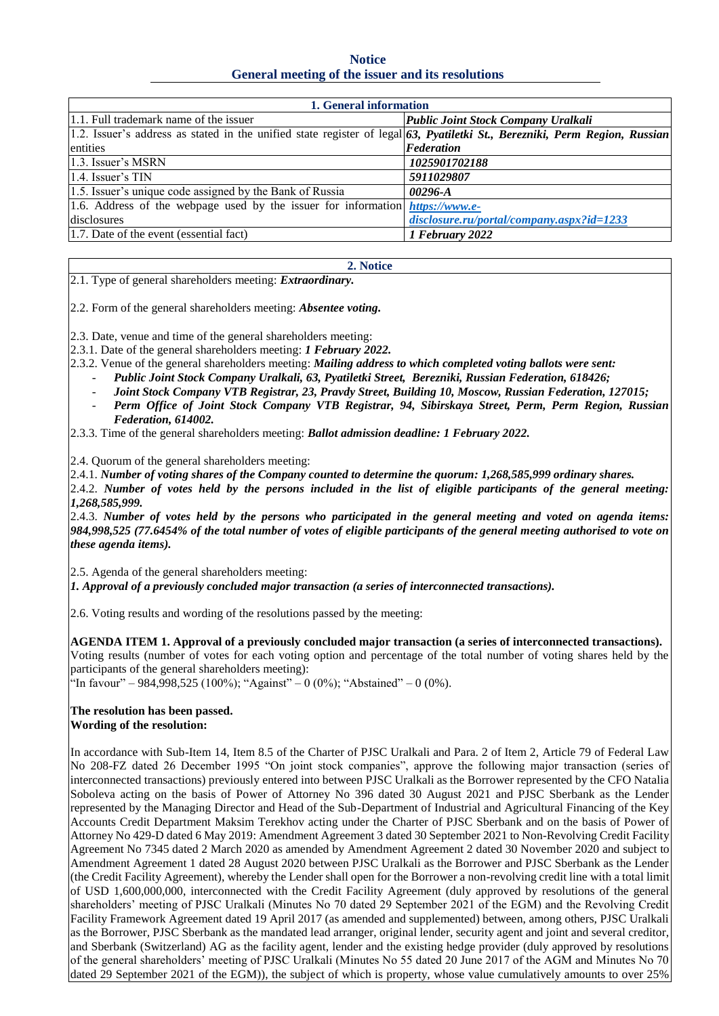**Notice General meeting of the issuer and its resolutions**

| 1. General information                                                                                                        |                                                |
|-------------------------------------------------------------------------------------------------------------------------------|------------------------------------------------|
| 1.1. Full trademark name of the issuer                                                                                        | Public Joint Stock Company Uralkali            |
| 1.2. Issuer's address as stated in the unified state register of legal $63$ , Pyatiletki St., Berezniki, Perm Region, Russian |                                                |
| entities                                                                                                                      | Federation                                     |
| 1.3. Issuer's MSRN                                                                                                            | 1025901702188                                  |
| $1.4$ . Issuer's TIN                                                                                                          | 5911029807                                     |
| 1.5. Issuer's unique code assigned by the Bank of Russia                                                                      | 00296-A                                        |
| 1.6. Address of the webpage used by the issuer for information $https://www.e-$                                               |                                                |
| disclosures                                                                                                                   | $disclosure, ru/portal/company. as px?id=1233$ |
| 1.7. Date of the event (essential fact)                                                                                       | 1 February 2022                                |

**2. Notice**

2.1. Type of general shareholders meeting: *Extraordinary.*

2.2. Form of the general shareholders meeting: *Absentee voting.*

2.3. Date, venue and time of the general shareholders meeting:

2.3.1. Date of the general shareholders meeting: *1 February 2022.*

2.3.2. Venue of the general shareholders meeting: *Mailing address to which completed voting ballots were sent:*

- *Public Joint Stock Company Uralkali, 63, Pyatiletki Street, Berezniki, Russian Federation, 618426;*
- *Joint Stock Company VTB Registrar, 23, Pravdy Street, Building 10, Moscow, Russian Federation, 127015;*
- *Perm Office of Joint Stock Company VTB Registrar, 94, Sibirskaya Street, Perm, Perm Region, Russian Federation, 614002.*

2.3.3. Time of the general shareholders meeting: *Ballot admission deadline: 1 February 2022.*

2.4. Quorum of the general shareholders meeting:

2.4.1. *Number of voting shares of the Company counted to determine the quorum: 1,268,585,999 ordinary shares.* 

2.4.2. *Number of votes held by the persons included in the list of eligible participants of the general meeting: 1,268,585,999.*

2.4.3. *Number of votes held by the persons who participated in the general meeting and voted on agenda items: 984,998,525 (77.6454% of the total number of votes of eligible participants of the general meeting authorised to vote on these agenda items).*

2.5. Agenda of the general shareholders meeting:

*1. Approval of a previously concluded major transaction (a series of interconnected transactions).*

2.6. Voting results and wording of the resolutions passed by the meeting:

**AGENDA ITEM 1. Approval of a previously concluded major transaction (a series of interconnected transactions).** Voting results (number of votes for each voting option and percentage of the total number of voting shares held by the participants of the general shareholders meeting):

"In favour" – 984,998,525 (100%); "Against" – 0 (0%); "Abstained" – 0 (0%).

## **The resolution has been passed. Wording of the resolution:**

In accordance with Sub-Item 14, Item 8.5 of the Charter of PJSC Uralkali and Para. 2 of Item 2, Article 79 of Federal Law No 208-FZ dated 26 December 1995 "On joint stock companies", approve the following major transaction (series of interconnected transactions) previously entered into between PJSC Uralkali as the Borrower represented by the CFO Natalia Soboleva acting on the basis of Power of Attorney No 396 dated 30 August 2021 and PJSC Sberbank as the Lender represented by the Managing Director and Head of the Sub-Department of Industrial and Agricultural Financing of the Key Accounts Credit Department Maksim Terekhov acting under the Charter of PJSC Sberbank and on the basis of Power of Attorney No 429-D dated 6 May 2019: Amendment Agreement 3 dated 30 September 2021 to Non-Revolving Credit Facility Agreement No 7345 dated 2 March 2020 as amended by Amendment Agreement 2 dated 30 November 2020 and subject to Amendment Agreement 1 dated 28 August 2020 between PJSC Uralkali as the Borrower and PJSC Sberbank as the Lender (the Credit Facility Agreement), whereby the Lender shall open for the Borrower a non-revolving credit line with a total limit of USD 1,600,000,000, interconnected with the Credit Facility Agreement (duly approved by resolutions of the general shareholders' meeting of PJSC Uralkali (Minutes No 70 dated 29 September 2021 of the EGM) and the Revolving Credit Facility Framework Agreement dated 19 April 2017 (as amended and supplemented) between, among others, PJSC Uralkali as the Borrower, PJSC Sberbank as the mandated lead arranger, original lender, security agent and joint and several creditor, and Sberbank (Switzerland) AG as the facility agent, lender and the existing hedge provider (duly approved by resolutions of the general shareholders' meeting of PJSC Uralkali (Minutes No 55 dated 20 June 2017 of the AGM and Minutes No 70 dated 29 September 2021 of the EGM)), the subject of which is property, whose value cumulatively amounts to over 25%